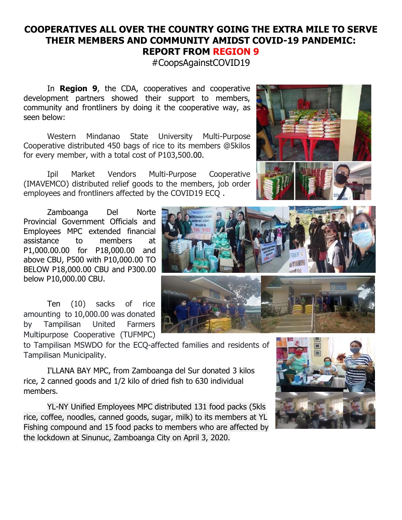## **COOPERATIVES ALL OVER THE COUNTRY GOING THE EXTRA MILE TO SERVE THEIR MEMBERS AND COMMUNITY AMIDST COVID-19 PANDEMIC: REPORT FROM REGION 9**

#CoopsAgainstCOVID19

In **Region 9**, the CDA, cooperatives and cooperative development partners showed their support to members, community and frontliners by doing it the cooperative way, as seen below:

Western Mindanao State University Multi-Purpose Cooperative distributed 450 bags of rice to its members @5kilos for every member, with a total cost of P103,500.00.

Ipil Market Vendors Multi-Purpose Cooperative (IMAVEMCO) distributed relief goods to the members, job order employees and frontliners affected by the COVID19 ECQ .

Zamboanga Del Norte Provincial Government Officials and Employees MPC extended financial assistance to members at P1,000.00.00 for P18,000.00 and above CBU, P500 with P10,000.00 TO BELOW P18,000.00 CBU and P300.00 below P10,000.00 CBU.

Ten (10) sacks of rice amounting to 10,000.00 was donated by Tampilisan United Farmers Multipurpose Cooperative (TUFMPC)

to Tampilisan MSWDO for the ECQ-affected families and residents of Tampilisan Municipality.

I'LLANA BAY MPC, from Zamboanga del Sur donated 3 kilos rice, 2 canned goods and 1/2 kilo of dried fish to 630 individual members.

YL-NY Unified Employees MPC distributed 131 food packs (5kls rice, coffee, noodles, canned goods, sugar, milk) to its members at YL Fishing compound and 15 food packs to members who are affected by the lockdown at Sinunuc, Zamboanga City on April 3, 2020.







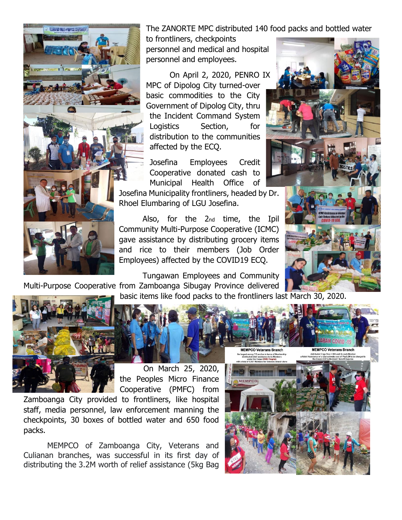The ZANORTE MPC distributed 140 food packs and bottled water

to frontliners, checkpoints personnel and medical and hospital personnel and employees.

On April 2, 2020, PENRO IX MPC of Dipolog City turned-over basic commodities to the City Government of Dipolog City, thru the Incident Command System Logistics Section, for distribution to the communities affected by the ECQ.

Josefina Employees Credit Cooperative donated cash to Municipal Health Office of

Josefina Municipality frontliners, headed by Dr. Rhoel Elumbaring of LGU Josefina.

Also, for the 2nd time, the Ipil Community Multi-Purpose Cooperative (ICMC) gave assistance by distributing grocery items and rice to their members (Job Order Employees) affected by the COVID19 ECQ.

Tungawan Employees and Community Multi-Purpose Cooperative from Zamboanga Sibugay Province delivered

basic items like food packs to the frontliners last March 30, 2020.



On March 25, 2020, the Peoples Micro Finance Cooperative (PMFC) from

Zamboanga City provided to frontliners, like hospital staff, media personnel, law enforcement manning the checkpoints, 30 boxes of bottled water and 650 food packs.

ILLANA BAY MULTI-PURPOSE COOPERATIVE

MEMPCO of Zamboanga City, Veterans and Culianan branches, was successful in its first day of distributing the 3.2M worth of relief assistance (5kg Bag